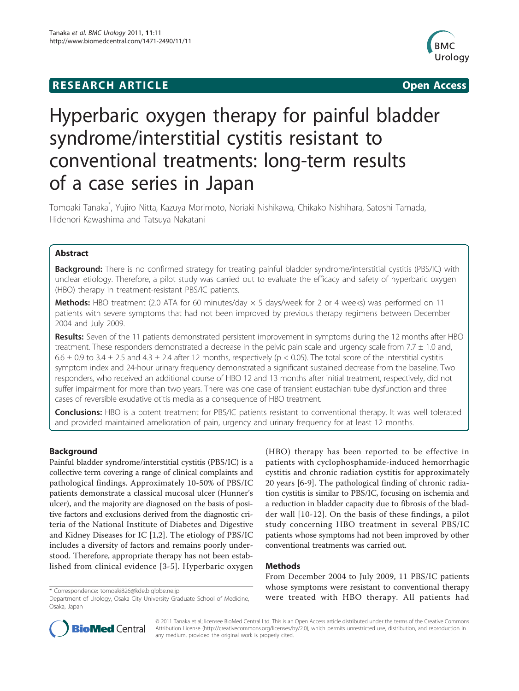## **RESEARCH ARTICLE Example 2014 CONSUMING ACCESS**



# Hyperbaric oxygen therapy for painful bladder syndrome/interstitial cystitis resistant to conventional treatments: long-term results of a case series in Japan

Tomoaki Tanaka\* , Yujiro Nitta, Kazuya Morimoto, Noriaki Nishikawa, Chikako Nishihara, Satoshi Tamada, Hidenori Kawashima and Tatsuya Nakatani

## Abstract

Background: There is no confirmed strategy for treating painful bladder syndrome/interstitial cystitis (PBS/IC) with unclear etiology. Therefore, a pilot study was carried out to evaluate the efficacy and safety of hyperbaric oxygen (HBO) therapy in treatment-resistant PBS/IC patients.

**Methods:** HBO treatment (2.0 ATA for 60 minutes/day  $\times$  5 days/week for 2 or 4 weeks) was performed on 11 patients with severe symptoms that had not been improved by previous therapy regimens between December 2004 and July 2009.

Results: Seven of the 11 patients demonstrated persistent improvement in symptoms during the 12 months after HBO treatment. These responders demonstrated a decrease in the pelvic pain scale and urgency scale from 7.7  $\pm$  1.0 and, 6.6  $\pm$  0.9 to 3.4  $\pm$  2.5 and 4.3  $\pm$  2.4 after 12 months, respectively (p < 0.05). The total score of the interstitial cystitis symptom index and 24-hour urinary frequency demonstrated a significant sustained decrease from the baseline. Two responders, who received an additional course of HBO 12 and 13 months after initial treatment, respectively, did not suffer impairment for more than two years. There was one case of transient eustachian tube dysfunction and three cases of reversible exudative otitis media as a consequence of HBO treatment.

Conclusions: HBO is a potent treatment for PBS/IC patients resistant to conventional therapy. It was well tolerated and provided maintained amelioration of pain, urgency and urinary frequency for at least 12 months.

## Background

Painful bladder syndrome/interstitial cystitis (PBS/IC) is a collective term covering a range of clinical complaints and pathological findings. Approximately 10-50% of PBS/IC patients demonstrate a classical mucosal ulcer (Hunner's ulcer), and the majority are diagnosed on the basis of positive factors and exclusions derived from the diagnostic criteria of the National Institute of Diabetes and Digestive and Kidney Diseases for IC [[1,2\]](#page-4-0). The etiology of PBS/IC includes a diversity of factors and remains poorly understood. Therefore, appropriate therapy has not been established from clinical evidence [[3-5\]](#page-4-0). Hyperbaric oxygen

(HBO) therapy has been reported to be effective in patients with cyclophosphamide-induced hemorrhagic cystitis and chronic radiation cystitis for approximately 20 years [\[6](#page-4-0)-[9\]](#page-4-0). The pathological finding of chronic radiation cystitis is similar to PBS/IC, focusing on ischemia and a reduction in bladder capacity due to fibrosis of the bladder wall [\[10-12\]](#page-4-0). On the basis of these findings, a pilot study concerning HBO treatment in several PBS/IC patients whose symptoms had not been improved by other conventional treatments was carried out.

## Methods

From December 2004 to July 2009, 11 PBS/IC patients whose symptoms were resistant to conventional therapy xiose symptoms were resistant to conventional therapy.<br>Department of Urology, Osaka City University Graduate School of Medicine, **were treated with HBO therapy. All patients had** 



© 2011 Tanaka et al; licensee BioMed Central Ltd. This is an Open Access article distributed under the terms of the Creative Commons Attribution License [\(http://creativecommons.org/licenses/by/2.0](http://creativecommons.org/licenses/by/2.0)), which permits unrestricted use, distribution, and reproduction in any medium, provided the original work is properly cited.

Department of Urology, Osaka City University Graduate School of Medicine, Osaka, Japan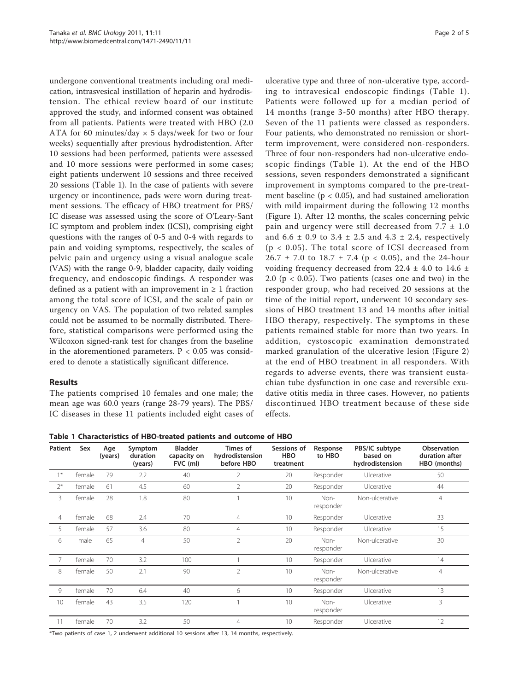undergone conventional treatments including oral medication, intrasvesical instillation of heparin and hydrodistension. The ethical review board of our institute approved the study, and informed consent was obtained from all patients. Patients were treated with HBO (2.0 ATA for 60 minutes/day  $\times$  5 days/week for two or four weeks) sequentially after previous hydrodistention. After 10 sessions had been performed, patients were assessed and 10 more sessions were performed in some cases; eight patients underwent 10 sessions and three received 20 sessions (Table 1). In the case of patients with severe urgency or incontinence, pads were worn during treatment sessions. The efficacy of HBO treatment for PBS/ IC disease was assessed using the score of O'Leary-Sant IC symptom and problem index (ICSI), comprising eight questions with the ranges of 0-5 and 0-4 with regards to pain and voiding symptoms, respectively, the scales of pelvic pain and urgency using a visual analogue scale (VAS) with the range 0-9, bladder capacity, daily voiding frequency, and endoscopic findings. A responder was defined as a patient with an improvement in  $\geq 1$  fraction among the total score of ICSI, and the scale of pain or urgency on VAS. The population of two related samples could not be assumed to be normally distributed. Therefore, statistical comparisons were performed using the Wilcoxon signed-rank test for changes from the baseline in the aforementioned parameters.  $P < 0.05$  was considered to denote a statistically significant difference.

## Results

The patients comprised 10 females and one male; the mean age was 60.0 years (range 28-79 years). The PBS/ IC diseases in these 11 patients included eight cases of

ulcerative type and three of non-ulcerative type, according to intravesical endoscopic findings (Table 1). Patients were followed up for a median period of 14 months (range 3-50 months) after HBO therapy. Seven of the 11 patients were classed as responders. Four patients, who demonstrated no remission or shortterm improvement, were considered non-responders. Three of four non-responders had non-ulcerative endoscopic findings (Table 1). At the end of the HBO sessions, seven responders demonstrated a significant improvement in symptoms compared to the pre-treatment baseline ( $p < 0.05$ ), and had sustained amelioration with mild impairment during the following 12 months (Figure [1\)](#page-2-0). After 12 months, the scales concerning pelvic pain and urgency were still decreased from  $7.7 \pm 1.0$ and  $6.6 \pm 0.9$  to  $3.4 \pm 2.5$  and  $4.3 \pm 2.4$ , respectively  $(p < 0.05)$ . The total score of ICSI decreased from  $26.7 \pm 7.0$  to  $18.7 \pm 7.4$  (p < 0.05), and the 24-hour voiding frequency decreased from 22.4  $\pm$  4.0 to 14.6  $\pm$ 2.0 ( $p < 0.05$ ). Two patients (cases one and two) in the responder group, who had received 20 sessions at the time of the initial report, underwent 10 secondary sessions of HBO treatment 13 and 14 months after initial HBO therapy, respectively. The symptoms in these patients remained stable for more than two years. In addition, cystoscopic examination demonstrated marked granulation of the ulcerative lesion (Figure [2](#page-3-0)) at the end of HBO treatment in all responders. With regards to adverse events, there was transient eustachian tube dysfunction in one case and reversible exudative otitis media in three cases. However, no patients discontinued HBO treatment because of these side effects.

Table 1 Characteristics of HBO-treated patients and outcome of HBO

| <b>Patient</b> | Sex    | Age<br>(years) | Symptom<br>duration<br>(years) | <b>Bladder</b><br>capacity on<br>FVC (ml) | Times of<br>hydrodistension<br>before HBO | Sessions of<br><b>HBO</b><br>treatment | Response<br>to HBO | PBS/IC subtype<br>based on<br>hydrodistension | <b>Observation</b><br>duration after<br>HBO (months) |
|----------------|--------|----------------|--------------------------------|-------------------------------------------|-------------------------------------------|----------------------------------------|--------------------|-----------------------------------------------|------------------------------------------------------|
| $1*$           | female | 79             | 2.2                            | 40                                        | 2                                         | 20                                     | Responder          | Ulcerative                                    | 50                                                   |
| $2^*$          | female | 61             | 4.5                            | 60                                        | $\overline{2}$                            | 20                                     | Responder          | Ulcerative                                    | 44                                                   |
| 3              | female | 28             | 1.8                            | 80                                        |                                           | 10                                     | Non-<br>responder  | Non-ulcerative                                | $\overline{4}$                                       |
| 4              | female | 68             | 2.4                            | 70                                        | $\overline{4}$                            | 10                                     | Responder          | Ulcerative                                    | 33                                                   |
| 5              | female | 57             | 3.6                            | 80                                        | 4                                         | 10                                     | Responder          | Ulcerative                                    | 15                                                   |
| 6              | male   | 65             | $\overline{4}$                 | 50                                        | $\overline{2}$                            | 20                                     | Non-<br>responder  | Non-ulcerative                                | 30                                                   |
| $\overline{7}$ | female | 70             | 3.2                            | 100                                       |                                           | 10                                     | Responder          | Ulcerative                                    | 14                                                   |
| 8              | female | 50             | 2.1                            | 90                                        | $\overline{2}$                            | 10                                     | Non-<br>responder  | Non-ulcerative                                | $\overline{4}$                                       |
| 9              | female | 70             | 6.4                            | 40                                        | 6                                         | 10                                     | Responder          | Ulcerative                                    | 13                                                   |
| 10             | female | 43             | 3.5                            | 120                                       |                                           | 10                                     | Non-<br>responder  | Ulcerative                                    | 3                                                    |
| 11             | female | 70             | 3.2                            | 50                                        | $\overline{4}$                            | 10                                     | Responder          | Ulcerative                                    | 12                                                   |

\*Two patients of case 1, 2 underwent additional 10 sessions after 13, 14 months, respectively.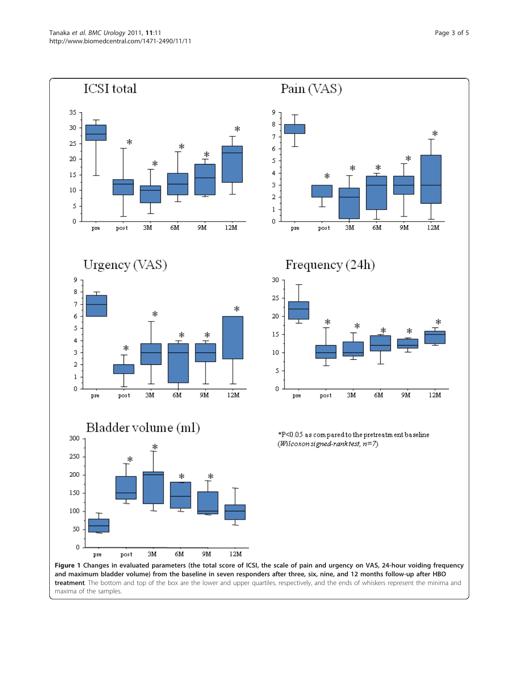<span id="page-2-0"></span>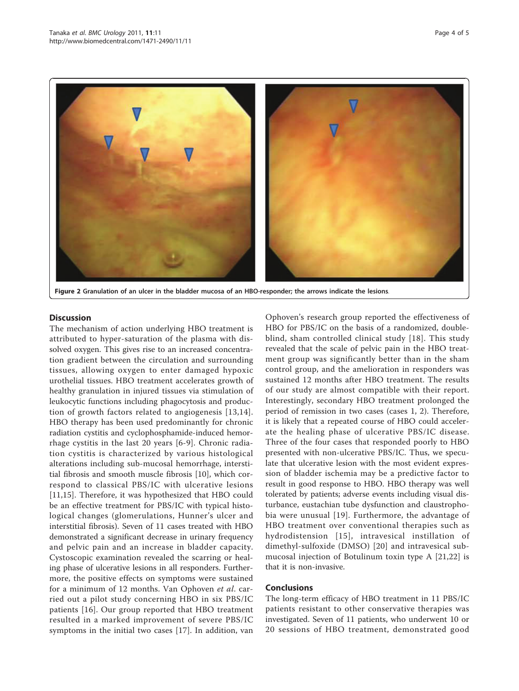<span id="page-3-0"></span>

### **Discussion**

The mechanism of action underlying HBO treatment is attributed to hyper-saturation of the plasma with dissolved oxygen. This gives rise to an increased concentration gradient between the circulation and surrounding tissues, allowing oxygen to enter damaged hypoxic urothelial tissues. HBO treatment accelerates growth of healthy granulation in injured tissues via stimulation of leukocytic functions including phagocytosis and production of growth factors related to angiogenesis [[13](#page-4-0),[14\]](#page-4-0). HBO therapy has been used predominantly for chronic radiation cystitis and cyclophosphamide-induced hemorrhage cystitis in the last 20 years [[6](#page-4-0)-[9\]](#page-4-0). Chronic radiation cystitis is characterized by various histological alterations including sub-mucosal hemorrhage, interstitial fibrosis and smooth muscle fibrosis [\[10](#page-4-0)], which correspond to classical PBS/IC with ulcerative lesions [[11,15](#page-4-0)]. Therefore, it was hypothesized that HBO could be an effective treatment for PBS/IC with typical histological changes (glomerulations, Hunner's ulcer and interstitial fibrosis). Seven of 11 cases treated with HBO demonstrated a significant decrease in urinary frequency and pelvic pain and an increase in bladder capacity. Cystoscopic examination revealed the scarring or healing phase of ulcerative lesions in all responders. Furthermore, the positive effects on symptoms were sustained for a minimum of 12 months. Van Ophoven et al. carried out a pilot study concerning HBO in six PBS/IC patients [[16\]](#page-4-0). Our group reported that HBO treatment resulted in a marked improvement of severe PBS/IC symptoms in the initial two cases [[17\]](#page-4-0). In addition, van

Ophoven's research group reported the effectiveness of HBO for PBS/IC on the basis of a randomized, doubleblind, sham controlled clinical study [[18](#page-4-0)]. This study revealed that the scale of pelvic pain in the HBO treatment group was significantly better than in the sham control group, and the amelioration in responders was sustained 12 months after HBO treatment. The results of our study are almost compatible with their report. Interestingly, secondary HBO treatment prolonged the period of remission in two cases (cases 1, 2). Therefore, it is likely that a repeated course of HBO could accelerate the healing phase of ulcerative PBS/IC disease. Three of the four cases that responded poorly to HBO presented with non-ulcerative PBS/IC. Thus, we speculate that ulcerative lesion with the most evident expression of bladder ischemia may be a predictive factor to result in good response to HBO. HBO therapy was well tolerated by patients; adverse events including visual disturbance, eustachian tube dysfunction and claustrophobia were unusual [[19](#page-4-0)]. Furthermore, the advantage of HBO treatment over conventional therapies such as hydrodistension [[15](#page-4-0)], intravesical instillation of dimethyl-sulfoxide (DMSO) [[20\]](#page-4-0) and intravesical submucosal injection of Botulinum toxin type A [[21,22](#page-4-0)] is that it is non-invasive.

## Conclusions

The long-term efficacy of HBO treatment in 11 PBS/IC patients resistant to other conservative therapies was investigated. Seven of 11 patients, who underwent 10 or 20 sessions of HBO treatment, demonstrated good